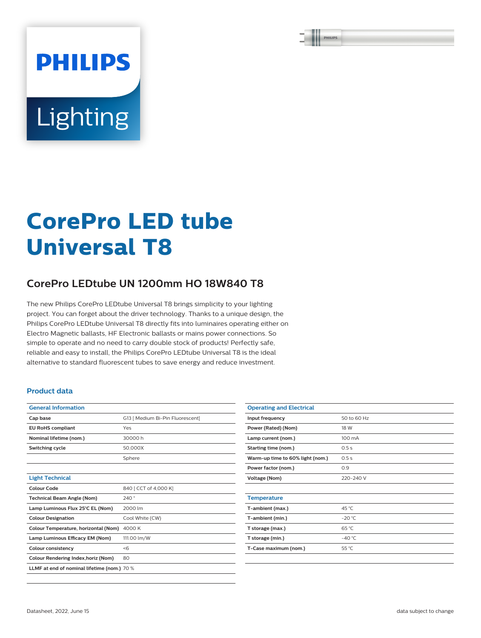# Lighting

**PHILIPS** 

## **CorePro LED tube Universal T8**

### **CorePro LEDtube UN 1200mm HO 18W840 T8**

The new Philips CorePro LEDtube Universal T8 brings simplicity to your lighting project. You can forget about the driver technology. Thanks to a unique design, the Philips CorePro LEDtube Universal T8 directly fits into luminaires operating either on Electro Magnetic ballasts, HF Electronic ballasts or mains power connections. So simple to operate and no need to carry double stock of products! Perfectly safe, reliable and easy to install, the Philips CorePro LEDtube Universal T8 is the ideal alternative to standard fluorescent tubes to save energy and reduce investment.

#### **Product data**

| <b>General Information</b>                  |                                  |  |  |  |
|---------------------------------------------|----------------------------------|--|--|--|
| Cap base                                    | G13   Medium Bi-Pin Fluorescent] |  |  |  |
| <b>EU RoHS compliant</b>                    | Yes                              |  |  |  |
| Nominal lifetime (nom.)                     | 30000 h                          |  |  |  |
| <b>Switching cycle</b>                      | 50.000X                          |  |  |  |
|                                             | Sphere                           |  |  |  |
|                                             |                                  |  |  |  |
| <b>Light Technical</b>                      |                                  |  |  |  |
| Colour Code                                 | 840 [ CCT of 4,000 K]            |  |  |  |
| <b>Technical Beam Angle (Nom)</b>           | 240°                             |  |  |  |
| Lamp Luminous Flux 25°C EL (Nom)            | 2000 lm                          |  |  |  |
| <b>Colour Designation</b>                   | Cool White (CW)                  |  |  |  |
| Colour Temperature, horizontal (Nom)        | 4000 K                           |  |  |  |
| Lamp Luminous Efficacy EM (Nom)             | 111.00 lm/W                      |  |  |  |
| <b>Colour consistency</b>                   | < 6                              |  |  |  |
| Colour Rendering Index, horiz (Nom)         | 80                               |  |  |  |
| LLMF at end of nominal lifetime (nom.) 70 % |                                  |  |  |  |
|                                             |                                  |  |  |  |

| <b>Operating and Electrical</b>  |             |  |  |  |
|----------------------------------|-------------|--|--|--|
| Input frequency                  | 50 to 60 Hz |  |  |  |
| Power (Rated) (Nom)              | 18 W        |  |  |  |
| Lamp current (nom.)              | 100 mA      |  |  |  |
| Starting time (nom.)             | 0.5s        |  |  |  |
| Warm-up time to 60% light (nom.) | 0.5s        |  |  |  |
| Power factor (nom.)              | 0.9         |  |  |  |
| Voltage (Nom)                    | 220-240 V   |  |  |  |
|                                  |             |  |  |  |
| <b>Temperature</b>               |             |  |  |  |
| T-ambient (max.)                 | 45 °C       |  |  |  |
| T-ambient (min.)                 | $-20 °C$    |  |  |  |
| T storage (max.)                 | 65 °C       |  |  |  |
| T storage (min.)                 | $-40 °C$    |  |  |  |
| T-Case maximum (nom.)            | 55 °C       |  |  |  |
|                                  |             |  |  |  |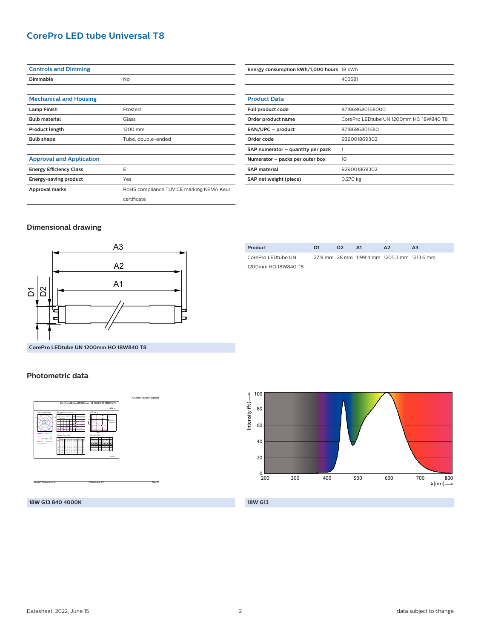#### **CorePro LED tube Universal T8**

| <b>Controls and Dimming</b>     |                                          |  |  |  |
|---------------------------------|------------------------------------------|--|--|--|
| Dimmable                        | No                                       |  |  |  |
|                                 |                                          |  |  |  |
| <b>Mechanical and Housing</b>   |                                          |  |  |  |
| <b>Lamp Finish</b>              | Frosted                                  |  |  |  |
| <b>Bulb material</b>            | Glass                                    |  |  |  |
| <b>Product length</b>           | 1200 mm                                  |  |  |  |
| <b>Bulb shape</b>               | Tube, double-ended                       |  |  |  |
|                                 |                                          |  |  |  |
| <b>Approval and Application</b> |                                          |  |  |  |
| <b>Energy Efficiency Class</b>  | E                                        |  |  |  |
| Energy-saving product           | Yes                                      |  |  |  |
| Approval marks                  | RoHS compliance TUV CE marking KEMA Keur |  |  |  |
|                                 | certificate                              |  |  |  |

| Energy consumption kWh/1,000 hours 18 kWh |                                        |  |  |
|-------------------------------------------|----------------------------------------|--|--|
|                                           | 403581                                 |  |  |
|                                           |                                        |  |  |
| <b>Product Data</b>                       |                                        |  |  |
| Full product code                         | 871869680168000                        |  |  |
| Order product name                        | CorePro LEDtube UN 1200mm HO 18W840 T8 |  |  |
| EAN/UPC - product                         | 8718696801680                          |  |  |
| Order code                                | 929001869302                           |  |  |
| SAP numerator – quantity per pack         |                                        |  |  |
| Numerator – packs per outer box           | 10                                     |  |  |
| <b>SAP material</b>                       | 929001869302                           |  |  |
| SAP net weight (piece)                    | 0.270 kg                               |  |  |

#### **Dimensional drawing**



**CorePro LEDtube UN 1200mm HO 18W840 T8**

#### **Photometric data**



| Product             | D1 | D <sub>2</sub> | <b>A1</b> | A <sub>2</sub>                              | AЗ |
|---------------------|----|----------------|-----------|---------------------------------------------|----|
| CorePro LEDtube UN  |    |                |           | 27.9 mm 28 mm 1199.4 mm 1205.3 mm 1213.6 mm |    |
| 1200mm HO 18W840 T8 |    |                |           |                                             |    |



**18W G13**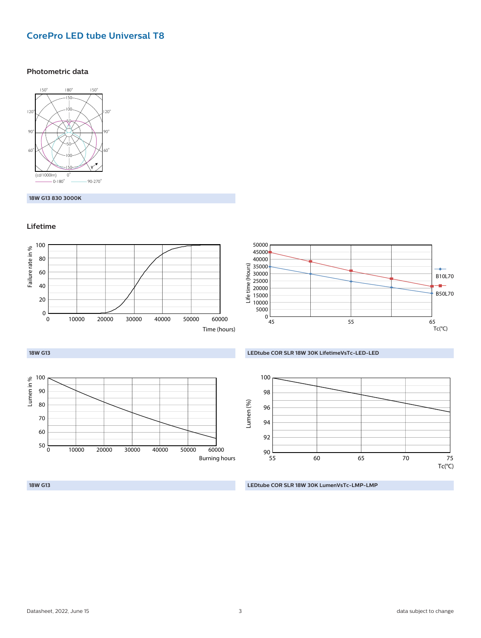#### **CorePro LED tube Universal T8**

#### **Photometric data**



#### **18W G13 830 3000K**

#### **Lifetime**